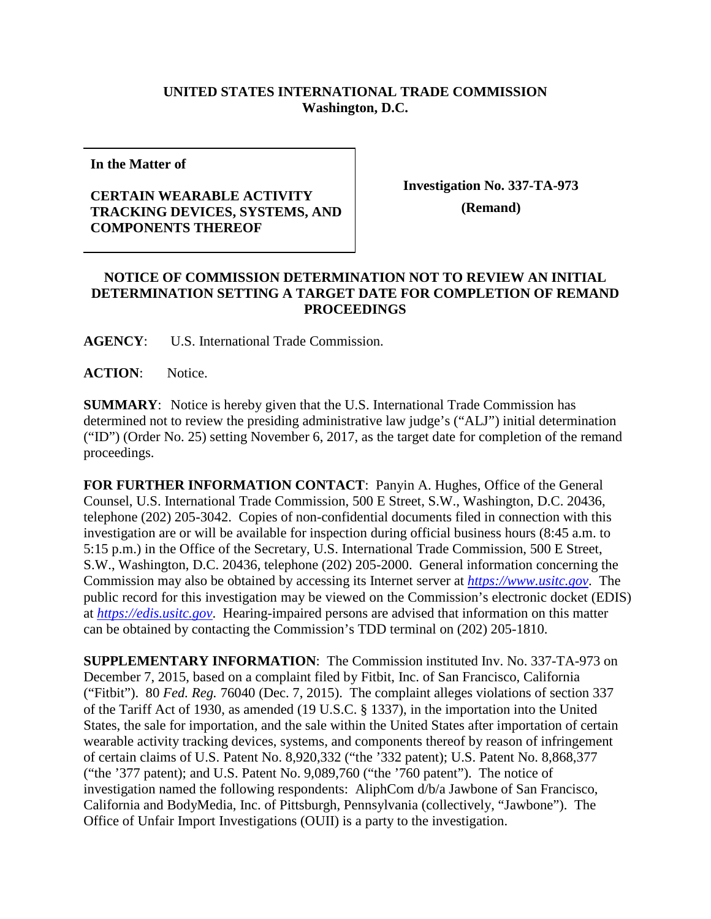## **UNITED STATES INTERNATIONAL TRADE COMMISSION Washington, D.C.**

**In the Matter of**

## **CERTAIN WEARABLE ACTIVITY TRACKING DEVICES, SYSTEMS, AND COMPONENTS THEREOF**

**Investigation No. 337-TA-973**

**(Remand)**

## **NOTICE OF COMMISSION DETERMINATION NOT TO REVIEW AN INITIAL DETERMINATION SETTING A TARGET DATE FOR COMPLETION OF REMAND PROCEEDINGS**

**AGENCY**: U.S. International Trade Commission.

**ACTION**: Notice.

**SUMMARY**: Notice is hereby given that the U.S. International Trade Commission has determined not to review the presiding administrative law judge's ("ALJ") initial determination ("ID") (Order No. 25) setting November 6, 2017, as the target date for completion of the remand proceedings.

**FOR FURTHER INFORMATION CONTACT**: Panyin A. Hughes, Office of the General Counsel, U.S. International Trade Commission, 500 E Street, S.W., Washington, D.C. 20436, telephone (202) 205-3042. Copies of non-confidential documents filed in connection with this investigation are or will be available for inspection during official business hours (8:45 a.m. to 5:15 p.m.) in the Office of the Secretary, U.S. International Trade Commission, 500 E Street, S.W., Washington, D.C. 20436, telephone (202) 205-2000. General information concerning the Commission may also be obtained by accessing its Internet server at *[https://www.usitc.gov](https://www.usitc.gov/)*. The public record for this investigation may be viewed on the Commission's electronic docket (EDIS) at *[https://edis.usitc.gov](https://edis.usitc.gov/)*. Hearing-impaired persons are advised that information on this matter can be obtained by contacting the Commission's TDD terminal on (202) 205-1810.

**SUPPLEMENTARY INFORMATION**: The Commission instituted Inv. No. 337-TA-973 on December 7, 2015, based on a complaint filed by Fitbit, Inc. of San Francisco, California ("Fitbit"). 80 *Fed. Reg.* 76040 (Dec. 7, 2015). The complaint alleges violations of section 337 of the Tariff Act of 1930, as amended (19 U.S.C. § 1337), in the importation into the United States, the sale for importation, and the sale within the United States after importation of certain wearable activity tracking devices, systems, and components thereof by reason of infringement of certain claims of U.S. Patent No. 8,920,332 ("the '332 patent); U.S. Patent No. 8,868,377 ("the '377 patent); and U.S. Patent No. 9,089,760 ("the '760 patent"). The notice of investigation named the following respondents: AliphCom d/b/a Jawbone of San Francisco, California and BodyMedia, Inc. of Pittsburgh, Pennsylvania (collectively, "Jawbone"). The Office of Unfair Import Investigations (OUII) is a party to the investigation.